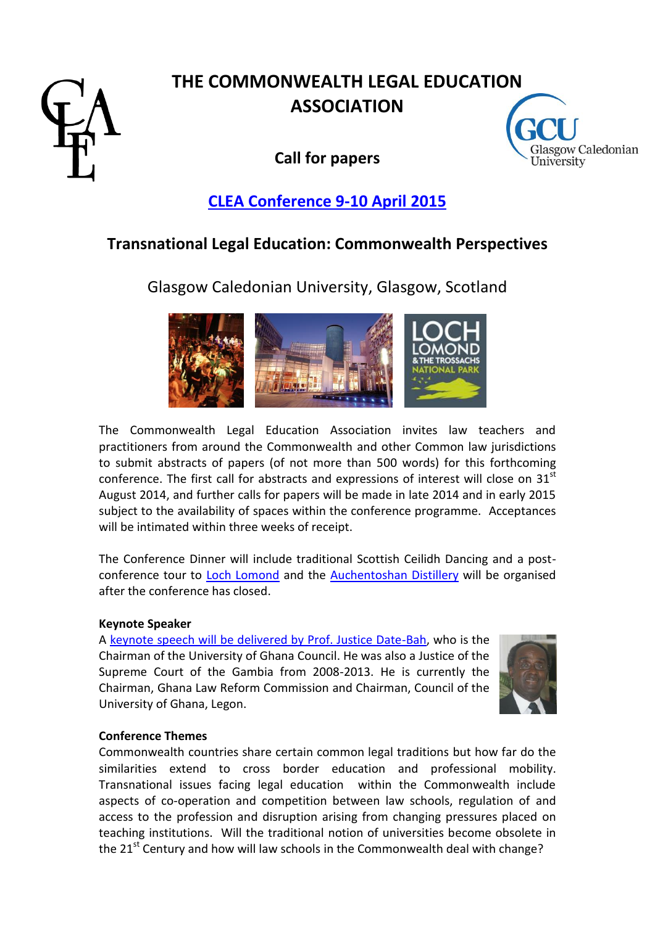

# **THE COMMONWEALTH LEGAL EDUCATION ASSOCIATION**

**Call for papers**



## **[CLEA Conference 9-10](http://www.clea-web.com/events-conferences/glasgow-2015/) April 2015**

### **Transnational Legal Education: Commonwealth Perspectives**

Glasgow Caledonian University, Glasgow, Scotland



The Commonwealth Legal Education Association invites law teachers and practitioners from around the Commonwealth and other Common law jurisdictions to submit abstracts of papers (of not more than 500 words) for this forthcoming conference. The first call for abstracts and expressions of interest will close on 31<sup>st</sup> August 2014, and further calls for papers will be made in late 2014 and in early 2015 subject to the availability of spaces within the conference programme. Acceptances will be intimated within three weeks of receipt.

The Conference Dinner will include traditional Scottish Ceilidh Dancing and a postconference tour to [Loch Lomond](http://www.lochlomond-trossachs.org/) and the [Auchentoshan Distillery](http://www.auchentoshan.com/) will be organised after the conference has closed.

#### **Keynote Speaker**

A [keynote speech will be delivered by Prof. Justice Date-Bah,](http://www.clea-web.com/events-conferences/glasgow-2015/keynote-date-bah/) who is the Chairman of the University of Ghana Council. He was also a Justice of the Supreme Court of the Gambia from 2008-2013. He is currently the Chairman, Ghana Law Reform Commission and Chairman, Council of the University of Ghana, Legon.



#### **Conference Themes**

Commonwealth countries share certain common legal traditions but how far do the similarities extend to cross border education and professional mobility. Transnational issues facing legal education within the Commonwealth include aspects of co-operation and competition between law schools, regulation of and access to the profession and disruption arising from changing pressures placed on teaching institutions. Will the traditional notion of universities become obsolete in the  $21<sup>st</sup>$  Century and how will law schools in the Commonwealth deal with change?